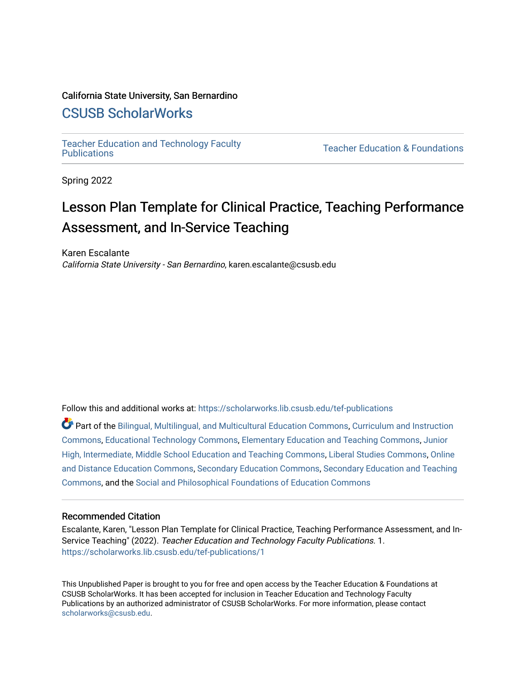## California State University, San Bernardino

## [CSUSB ScholarWorks](https://scholarworks.lib.csusb.edu/)

[Teacher Education and Technology Faculty](https://scholarworks.lib.csusb.edu/tef-publications) 

**Teacher Education & Foundations** 

Spring 2022

## Lesson Plan Template for Clinical Practice, Teaching Performance Assessment, and In-Service Teaching

Karen Escalante California State University - San Bernardino, karen.escalante@csusb.edu

Follow this and additional works at: [https://scholarworks.lib.csusb.edu/tef-publications](https://scholarworks.lib.csusb.edu/tef-publications?utm_source=scholarworks.lib.csusb.edu%2Ftef-publications%2F1&utm_medium=PDF&utm_campaign=PDFCoverPages) 

Part of the [Bilingual, Multilingual, and Multicultural Education Commons,](http://network.bepress.com/hgg/discipline/785?utm_source=scholarworks.lib.csusb.edu%2Ftef-publications%2F1&utm_medium=PDF&utm_campaign=PDFCoverPages) [Curriculum and Instruction](http://network.bepress.com/hgg/discipline/786?utm_source=scholarworks.lib.csusb.edu%2Ftef-publications%2F1&utm_medium=PDF&utm_campaign=PDFCoverPages)  [Commons](http://network.bepress.com/hgg/discipline/786?utm_source=scholarworks.lib.csusb.edu%2Ftef-publications%2F1&utm_medium=PDF&utm_campaign=PDFCoverPages), [Educational Technology Commons](http://network.bepress.com/hgg/discipline/1415?utm_source=scholarworks.lib.csusb.edu%2Ftef-publications%2F1&utm_medium=PDF&utm_campaign=PDFCoverPages), [Elementary Education and Teaching Commons,](http://network.bepress.com/hgg/discipline/805?utm_source=scholarworks.lib.csusb.edu%2Ftef-publications%2F1&utm_medium=PDF&utm_campaign=PDFCoverPages) [Junior](http://network.bepress.com/hgg/discipline/807?utm_source=scholarworks.lib.csusb.edu%2Ftef-publications%2F1&utm_medium=PDF&utm_campaign=PDFCoverPages) [High, Intermediate, Middle School Education and Teaching Commons](http://network.bepress.com/hgg/discipline/807?utm_source=scholarworks.lib.csusb.edu%2Ftef-publications%2F1&utm_medium=PDF&utm_campaign=PDFCoverPages), [Liberal Studies Commons,](http://network.bepress.com/hgg/discipline/1042?utm_source=scholarworks.lib.csusb.edu%2Ftef-publications%2F1&utm_medium=PDF&utm_campaign=PDFCoverPages) [Online](http://network.bepress.com/hgg/discipline/1296?utm_source=scholarworks.lib.csusb.edu%2Ftef-publications%2F1&utm_medium=PDF&utm_campaign=PDFCoverPages) [and Distance Education Commons](http://network.bepress.com/hgg/discipline/1296?utm_source=scholarworks.lib.csusb.edu%2Ftef-publications%2F1&utm_medium=PDF&utm_campaign=PDFCoverPages), [Secondary Education Commons](http://network.bepress.com/hgg/discipline/1382?utm_source=scholarworks.lib.csusb.edu%2Ftef-publications%2F1&utm_medium=PDF&utm_campaign=PDFCoverPages), [Secondary Education and Teaching](http://network.bepress.com/hgg/discipline/809?utm_source=scholarworks.lib.csusb.edu%2Ftef-publications%2F1&utm_medium=PDF&utm_campaign=PDFCoverPages) [Commons](http://network.bepress.com/hgg/discipline/809?utm_source=scholarworks.lib.csusb.edu%2Ftef-publications%2F1&utm_medium=PDF&utm_campaign=PDFCoverPages), and the [Social and Philosophical Foundations of Education Commons](http://network.bepress.com/hgg/discipline/799?utm_source=scholarworks.lib.csusb.edu%2Ftef-publications%2F1&utm_medium=PDF&utm_campaign=PDFCoverPages) 

#### Recommended Citation

Escalante, Karen, "Lesson Plan Template for Clinical Practice, Teaching Performance Assessment, and In-Service Teaching" (2022). Teacher Education and Technology Faculty Publications. 1. [https://scholarworks.lib.csusb.edu/tef-publications/1](https://scholarworks.lib.csusb.edu/tef-publications/1?utm_source=scholarworks.lib.csusb.edu%2Ftef-publications%2F1&utm_medium=PDF&utm_campaign=PDFCoverPages) 

This Unpublished Paper is brought to you for free and open access by the Teacher Education & Foundations at CSUSB ScholarWorks. It has been accepted for inclusion in Teacher Education and Technology Faculty Publications by an authorized administrator of CSUSB ScholarWorks. For more information, please contact [scholarworks@csusb.edu](mailto:scholarworks@csusb.edu).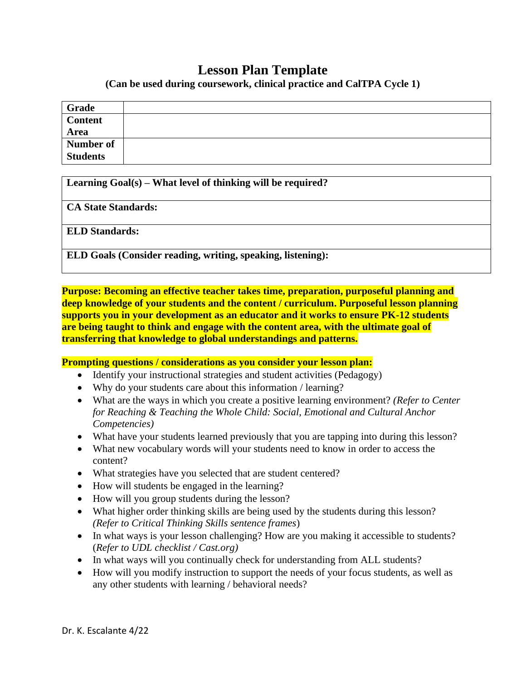## **Lesson Plan Template**

**(Can be used during coursework, clinical practice and CalTPA Cycle 1)**

| Grade           |  |
|-----------------|--|
| <b>Content</b>  |  |
| Area            |  |
| Number of       |  |
| <b>Students</b> |  |

**Learning Goal(s) – What level of thinking will be required?**

**CA State Standards:**

**ELD Standards:**

**ELD Goals (Consider reading, writing, speaking, listening):**

**Purpose: Becoming an effective teacher takes time, preparation, purposeful planning and deep knowledge of your students and the content / curriculum. Purposeful lesson planning supports you in your development as an educator and it works to ensure PK-12 students are being taught to think and engage with the content area, with the ultimate goal of transferring that knowledge to global understandings and patterns.**

**Prompting questions / considerations as you consider your lesson plan:**

- Identify your instructional strategies and student activities (Pedagogy)
- Why do your students care about this information / learning?
- What are the ways in which you create a positive learning environment? *(Refer to Center for Reaching & Teaching the Whole Child: Social, Emotional and Cultural Anchor Competencies)*
- What have your students learned previously that you are tapping into during this lesson?
- What new vocabulary words will your students need to know in order to access the content?
- What strategies have you selected that are student centered?
- How will students be engaged in the learning?
- How will you group students during the lesson?
- What higher order thinking skills are being used by the students during this lesson? *(Refer to Critical Thinking Skills sentence frames*)
- In what ways is your lesson challenging? How are you making it accessible to students? (*Refer to UDL checklist / Cast.org)*
- In what ways will you continually check for understanding from ALL students?
- How will you modify instruction to support the needs of your focus students, as well as any other students with learning / behavioral needs?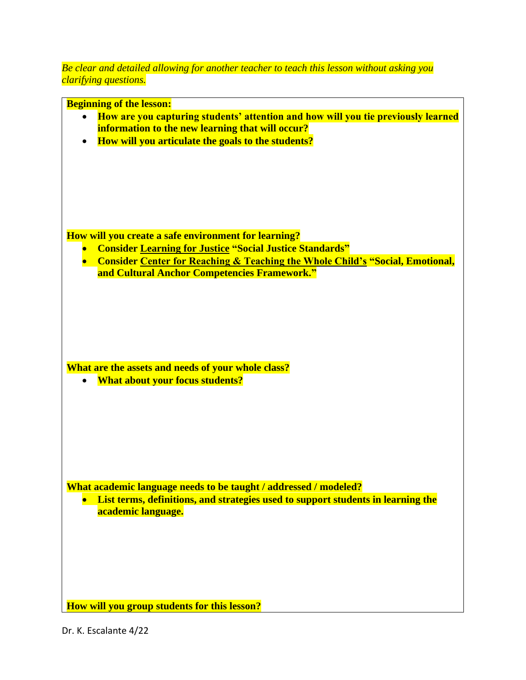*Be clear and detailed allowing for another teacher to teach this lesson without asking you clarifying questions.*

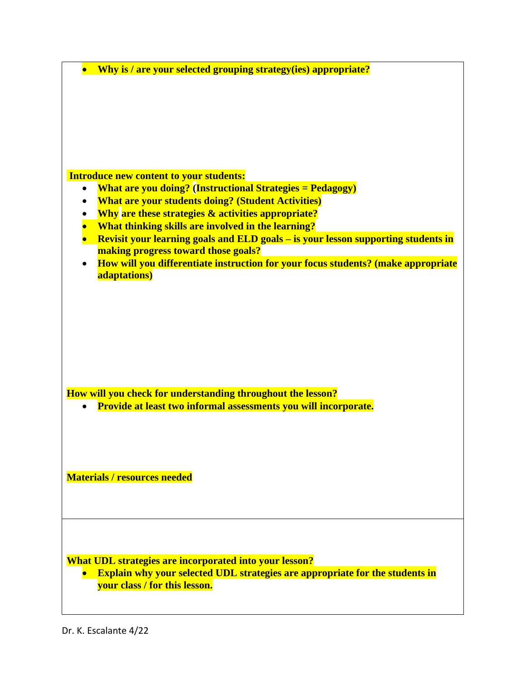| Why is / are your selected grouping strategy (ies) appropriate?                     |  |  |  |  |  |
|-------------------------------------------------------------------------------------|--|--|--|--|--|
|                                                                                     |  |  |  |  |  |
|                                                                                     |  |  |  |  |  |
|                                                                                     |  |  |  |  |  |
|                                                                                     |  |  |  |  |  |
|                                                                                     |  |  |  |  |  |
|                                                                                     |  |  |  |  |  |
|                                                                                     |  |  |  |  |  |
|                                                                                     |  |  |  |  |  |
| <b>Introduce new content to your students:</b>                                      |  |  |  |  |  |
| <b>What are you doing?</b> (Instructional Strategies = Pedagogy)<br>$\bullet$       |  |  |  |  |  |
| <b>What are your students doing? (Student Activities)</b>                           |  |  |  |  |  |
| <b>Why are these strategies &amp; activities appropriate?</b><br>$\bullet$          |  |  |  |  |  |
| What thinking skills are involved in the learning?                                  |  |  |  |  |  |
| Revisit your learning goals and ELD goals - is your lesson supporting students in   |  |  |  |  |  |
| making progress toward those goals?                                                 |  |  |  |  |  |
| How will you differentiate instruction for your focus students? (make appropriate   |  |  |  |  |  |
| adaptations)                                                                        |  |  |  |  |  |
|                                                                                     |  |  |  |  |  |
|                                                                                     |  |  |  |  |  |
|                                                                                     |  |  |  |  |  |
|                                                                                     |  |  |  |  |  |
|                                                                                     |  |  |  |  |  |
|                                                                                     |  |  |  |  |  |
|                                                                                     |  |  |  |  |  |
|                                                                                     |  |  |  |  |  |
|                                                                                     |  |  |  |  |  |
| How will you check for understanding throughout the lesson?                         |  |  |  |  |  |
| Provide at least two informal assessments you will incorporate.                     |  |  |  |  |  |
|                                                                                     |  |  |  |  |  |
|                                                                                     |  |  |  |  |  |
|                                                                                     |  |  |  |  |  |
|                                                                                     |  |  |  |  |  |
|                                                                                     |  |  |  |  |  |
| <b>Materials / resources needed</b>                                                 |  |  |  |  |  |
|                                                                                     |  |  |  |  |  |
|                                                                                     |  |  |  |  |  |
|                                                                                     |  |  |  |  |  |
|                                                                                     |  |  |  |  |  |
|                                                                                     |  |  |  |  |  |
|                                                                                     |  |  |  |  |  |
| What UDL strategies are incorporated into your lesson?                              |  |  |  |  |  |
| <b>Explain why your selected UDL strategies are appropriate for the students in</b> |  |  |  |  |  |
| your class / for this lesson.                                                       |  |  |  |  |  |
|                                                                                     |  |  |  |  |  |
|                                                                                     |  |  |  |  |  |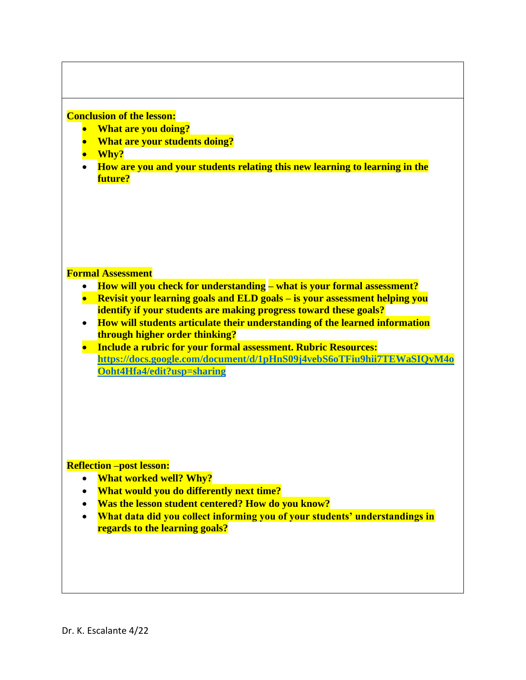## **Conclusion of the lesson:**

- **What are you doing?**
- **What are your students doing?**
- **Why?**
- **How are you and your students relating this new learning to learning in the future?**

### **Formal Assessment**

- **How will you check for understanding – what is your formal assessment?**
- **Revisit your learning goals and ELD goals – is your assessment helping you identify if your students are making progress toward these goals?**
- **How will students articulate their understanding of the learned information through higher order thinking?**
- **Include a rubric for your formal assessment. Rubric Resources: [https://docs.google.com/document/d/1pHnS09j4vebS6oTFiu9hii7TEWaSIQvM4o](https://docs.google.com/document/d/1pHnS09j4vebS6oTFiu9hii7TEWaSIQvM4oOoht4Hfa4/edit?usp=sharing) [Ooht4Hfa4/edit?usp=sharing](https://docs.google.com/document/d/1pHnS09j4vebS6oTFiu9hii7TEWaSIQvM4oOoht4Hfa4/edit?usp=sharing)**

**Reflection –post lesson:**

- **What worked well? Why?**
- **What would you do differently next time?**
- **Was the lesson student centered? How do you know?**
- **What data did you collect informing you of your students' understandings in regards to the learning goals?**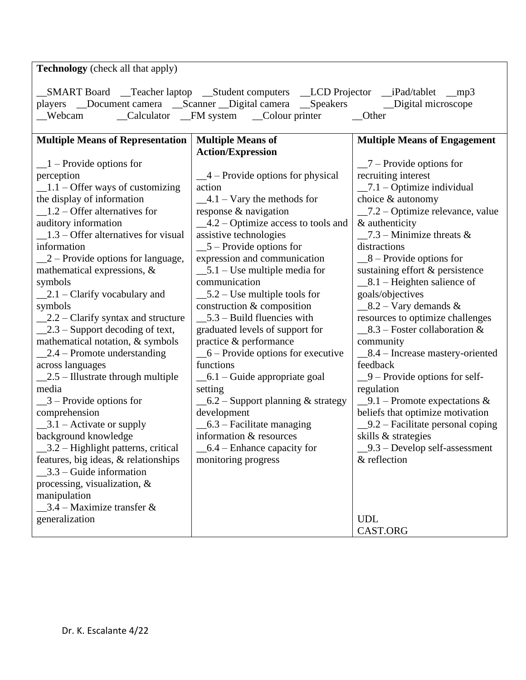| <b>Technology</b> (check all that apply)                                                                                                                                                                                                           |                                      |                                                                     |  |  |  |  |  |
|----------------------------------------------------------------------------------------------------------------------------------------------------------------------------------------------------------------------------------------------------|--------------------------------------|---------------------------------------------------------------------|--|--|--|--|--|
| _SMART Board __Teacher laptop __Student computers __LCD Projector __iPad/tablet __mp3<br>players __Document camera __Scanner __Digital camera __Speakers _______Digital microscope<br>_Calculator _FM system _Colour printer<br>_Webcam<br>__Other |                                      |                                                                     |  |  |  |  |  |
| <b>Multiple Means of</b><br><b>Multiple Means of Representation</b><br><b>Multiple Means of Engagement</b>                                                                                                                                         |                                      |                                                                     |  |  |  |  |  |
|                                                                                                                                                                                                                                                    | <b>Action/Expression</b>             |                                                                     |  |  |  |  |  |
| $-1$ – Provide options for                                                                                                                                                                                                                         |                                      | $\frac{-7 - \text{Provides options for}}{}$                         |  |  |  |  |  |
| perception                                                                                                                                                                                                                                         | $-4$ – Provide options for physical  | recruiting interest                                                 |  |  |  |  |  |
| $\_1.1 -$ Offer ways of customizing                                                                                                                                                                                                                | action                               | $\_\$ {7.1} – Optimize individual                                   |  |  |  |  |  |
| the display of information                                                                                                                                                                                                                         | $-4.1 - \text{Vary the methods for}$ | choice & autonomy                                                   |  |  |  |  |  |
| $\_\$ 1.2 – Offer alternatives for                                                                                                                                                                                                                 | response $\&$ navigation             | $\_7.2$ – Optimize relevance, value                                 |  |  |  |  |  |
| auditory information<br>$-4.2$ – Optimize access to tools and                                                                                                                                                                                      |                                      | & authenticity                                                      |  |  |  |  |  |
| $\_\$ 1.3 – Offer alternatives for visual<br>assistive technologies                                                                                                                                                                                |                                      | $-7.3$ – Minimize threats &                                         |  |  |  |  |  |
| information                                                                                                                                                                                                                                        | $\_5$ – Provide options for          | distractions                                                        |  |  |  |  |  |
| $\angle 2$ – Provide options for language,                                                                                                                                                                                                         | expression and communication         | $-8$ – Provide options for                                          |  |  |  |  |  |
| mathematical expressions, &                                                                                                                                                                                                                        | $\_5.1 -$ Use multiple media for     | sustaining effort & persistence                                     |  |  |  |  |  |
| symbols                                                                                                                                                                                                                                            | communication                        | $\_8.1$ – Heighten salience of                                      |  |  |  |  |  |
| $\_\_2.1$ – Clarify vocabulary and<br>$\_5.2 -$ Use multiple tools for                                                                                                                                                                             |                                      | goals/objectives                                                    |  |  |  |  |  |
| construction & composition<br>symbols                                                                                                                                                                                                              |                                      | $\_\$ 8.2 – Vary demands &                                          |  |  |  |  |  |
| $\_\_2.2 -$ Clarify syntax and structure                                                                                                                                                                                                           | $\_5.3$ – Build fluencies with       | resources to optimize challenges                                    |  |  |  |  |  |
| $\_\_2.3$ – Support decoding of text,                                                                                                                                                                                                              | graduated levels of support for      | $\_8.3$ – Foster collaboration &                                    |  |  |  |  |  |
| mathematical notation, & symbols                                                                                                                                                                                                                   | practice & performance               | community                                                           |  |  |  |  |  |
| $\_\_2.4$ – Promote understanding                                                                                                                                                                                                                  | $-6$ – Provide options for executive | $\_8.4$ – Increase mastery-oriented                                 |  |  |  |  |  |
| across languages                                                                                                                                                                                                                                   | functions                            | feedback                                                            |  |  |  |  |  |
| $2.5$ – Illustrate through multiple<br>$\_\$ 6.1 – Guide appropriate goal                                                                                                                                                                          |                                      | $-9$ – Provide options for self-                                    |  |  |  |  |  |
| media                                                                                                                                                                                                                                              | setting                              | regulation                                                          |  |  |  |  |  |
| $\_\$ 3 – Provide options for<br>$\_\_6.2$ – Support planning & strategy                                                                                                                                                                           |                                      | $-9.1$ – Promote expectations &<br>beliefs that optimize motivation |  |  |  |  |  |
| comprehension                                                                                                                                                                                                                                      | development                          |                                                                     |  |  |  |  |  |
| $\_\$ 3.1 – Activate or supply                                                                                                                                                                                                                     | $-6.3$ – Facilitate managing         | $-9.2$ – Facilitate personal coping                                 |  |  |  |  |  |
| information & resources<br>background knowledge                                                                                                                                                                                                    |                                      | skills & strategies                                                 |  |  |  |  |  |
| _3.2 - Highlight patterns, critical                                                                                                                                                                                                                | $-6.4$ – Enhance capacity for        | $-9.3$ – Develop self-assessment                                    |  |  |  |  |  |
| features, big ideas, & relationships<br>$3.3$ – Guide information                                                                                                                                                                                  | monitoring progress                  | & reflection                                                        |  |  |  |  |  |
| processing, visualization, &                                                                                                                                                                                                                       |                                      |                                                                     |  |  |  |  |  |
| manipulation                                                                                                                                                                                                                                       |                                      |                                                                     |  |  |  |  |  |
| $3.4$ – Maximize transfer &                                                                                                                                                                                                                        |                                      |                                                                     |  |  |  |  |  |
| generalization                                                                                                                                                                                                                                     |                                      | <b>UDL</b>                                                          |  |  |  |  |  |
|                                                                                                                                                                                                                                                    |                                      | CAST.ORG                                                            |  |  |  |  |  |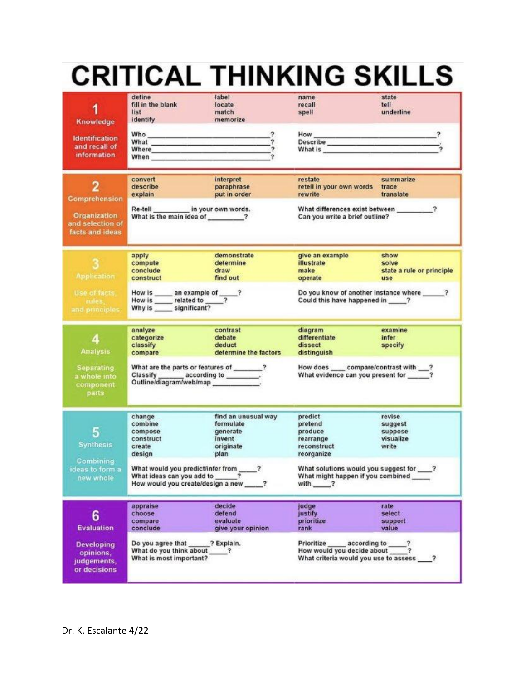# **CRITICAL THINKING SKILLS**

| 1<br>Knowledge<br><b>Identification</b><br>and recall of<br>information | define<br>fill in the blank<br>list<br>identify<br>Who <b>will be a series of the series of the series of the series of the series</b><br>What <b>What Manual</b><br>Where <b>Where Contract Contract Contract Contract Contract Contract Contract Contract Contract Contract Contract Contract Contract Contract Contract Contract Contract Contract Contract Contract Contract Contract Contract </b><br>When the contract of the contract of the contract of the contract of the contract of the contract of the contract of the contract of the contract of the contract of the contract of the contract of the contract of the contr<br>convert<br>describe<br>explain | label<br>locate<br>match<br>memorize<br>interpret<br>paraphrase<br>put in order | name<br>recall<br>spell<br>How<br>Describe<br>What is <b>with a series of the series of the series</b><br>restate<br>retell in your own words<br>rewrite | state<br>tell<br>underline<br>$\overline{\mathbf{?}}$<br>summarize<br>trace<br>translate |  |
|-------------------------------------------------------------------------|-----------------------------------------------------------------------------------------------------------------------------------------------------------------------------------------------------------------------------------------------------------------------------------------------------------------------------------------------------------------------------------------------------------------------------------------------------------------------------------------------------------------------------------------------------------------------------------------------------------------------------------------------------------------------------|---------------------------------------------------------------------------------|----------------------------------------------------------------------------------------------------------------------------------------------------------|------------------------------------------------------------------------------------------|--|
| Comprehension<br>Organization<br>and selection of<br>facts and ideas    | in your own words.<br>Re-tell<br>What is the main idea of 2                                                                                                                                                                                                                                                                                                                                                                                                                                                                                                                                                                                                                 |                                                                                 | What differences exist between 2<br>Can you write a brief outline?                                                                                       |                                                                                          |  |
| <b>Application</b>                                                      | apply<br>compute<br>conclude<br>construct                                                                                                                                                                                                                                                                                                                                                                                                                                                                                                                                                                                                                                   | demonstrate<br>determine<br>draw<br>find out                                    | give an example<br>illustrate<br>make<br>operate                                                                                                         | show<br>solve<br>state a rule or principle<br>use                                        |  |
| Use of facts.<br>rules,<br>and principles.                              | Do you know of another instance where _____?<br>How is _______ an example of _____?<br>How is ________ related to _____?<br>Why is _______ significant?<br>Could this have happened in ____?                                                                                                                                                                                                                                                                                                                                                                                                                                                                                |                                                                                 |                                                                                                                                                          |                                                                                          |  |
| $\boldsymbol{4}$<br><b>Analysis</b>                                     | analyze<br>categorize<br>classify<br>compare                                                                                                                                                                                                                                                                                                                                                                                                                                                                                                                                                                                                                                | contrast<br>debate<br>deduct<br>determine the factors                           | diagram<br>differentiate<br>dissect<br>distinguish                                                                                                       | examine<br>infer<br>specify                                                              |  |
| <b>Separating</b><br>a whole into<br>component<br>parts                 | What are the parts or features of _______?<br>Classify ________ according to ________.<br>Outline/diagram/web/map                                                                                                                                                                                                                                                                                                                                                                                                                                                                                                                                                           |                                                                                 | How does _____ compare/contrast with ___?<br>What evidence can you present for _____?                                                                    |                                                                                          |  |
| 5<br><b>Synthesis</b><br>Combining                                      | change<br>combine<br>compose<br>construct<br>create<br>design                                                                                                                                                                                                                                                                                                                                                                                                                                                                                                                                                                                                               | find an unusual way<br>formulate<br>generate<br>invent<br>originate<br>plan     | predict<br>pretend<br>produce<br>rearrange<br>reconstruct<br>reorganize                                                                                  | revise<br>suggest<br>suppose<br>visualize<br>write                                       |  |
| ideas to form a<br>new whole                                            | What would you predict/infer from _____?<br>What ideas can you add to<br>How would you create/design a new ?                                                                                                                                                                                                                                                                                                                                                                                                                                                                                                                                                                |                                                                                 | What solutions would you suggest for ___?<br>What might happen if you combined<br>with ?                                                                 |                                                                                          |  |
| 6<br><b>Evaluation</b>                                                  | appraise<br>choose<br>compare<br>conclude                                                                                                                                                                                                                                                                                                                                                                                                                                                                                                                                                                                                                                   | decide<br>defend<br>evaluate<br>give your opinion                               | judge<br>justify<br>prioritize<br>rank                                                                                                                   | rate<br>select<br>support<br>value                                                       |  |
| <b>Developing</b><br>opinions,<br>judgements,<br>or decisions           | Do you agree that<br>What do you think about<br>What is most important?                                                                                                                                                                                                                                                                                                                                                                                                                                                                                                                                                                                                     | ? Explain.<br>?                                                                 | Prioritize<br>according to<br>How would you decide about<br>What criteria would you use to assess                                                        |                                                                                          |  |